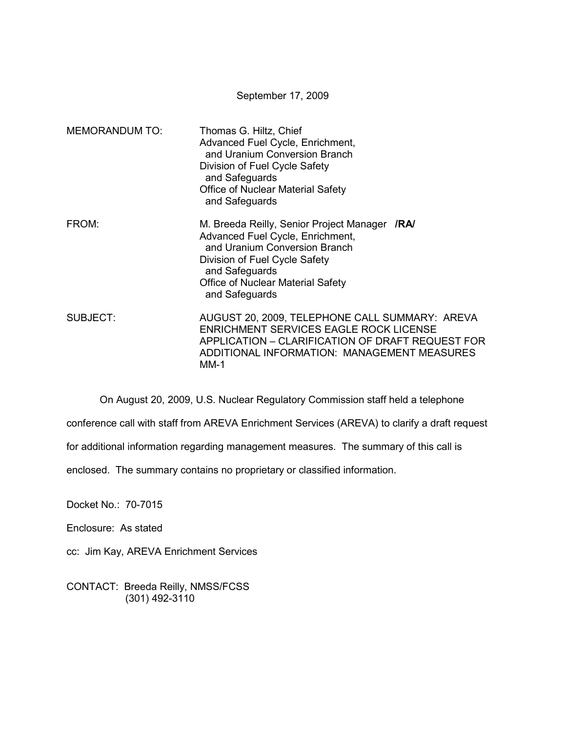|                       | September 17, 2009                                                                                                                                                                                                                  |
|-----------------------|-------------------------------------------------------------------------------------------------------------------------------------------------------------------------------------------------------------------------------------|
| <b>MEMORANDUM TO:</b> | Thomas G. Hiltz, Chief<br>Advanced Fuel Cycle, Enrichment,<br>and Uranium Conversion Branch<br>Division of Fuel Cycle Safety<br>and Safeguards<br><b>Office of Nuclear Material Safety</b><br>and Safeguards                        |
| FROM:                 | M. Breeda Reilly, Senior Project Manager /RA/<br>Advanced Fuel Cycle, Enrichment,<br>and Uranium Conversion Branch<br>Division of Fuel Cycle Safety<br>and Safeguards<br><b>Office of Nuclear Material Safety</b><br>and Safeguards |
| <b>SUBJECT:</b>       | AUGUST 20, 2009, TELEPHONE CALL SUMMARY: AREVA<br><b>ENRICHMENT SERVICES EAGLE ROCK LICENSE</b><br>APPLICATION - CLARIFICATION OF DRAFT REQUEST FOR<br>ADDITIONAL INFORMATION: MANAGEMENT MEASURES<br>MM-1                          |

On August 20, 2009, U.S. Nuclear Regulatory Commission staff held a telephone

conference call with staff from AREVA Enrichment Services (AREVA) to clarify a draft request

for additional information regarding management measures. The summary of this call is

enclosed. The summary contains no proprietary or classified information.

Docket No.: 70-7015

Enclosure: As stated

cc: Jim Kay, AREVA Enrichment Services

CONTACT: Breeda Reilly, NMSS/FCSS (301) 492-3110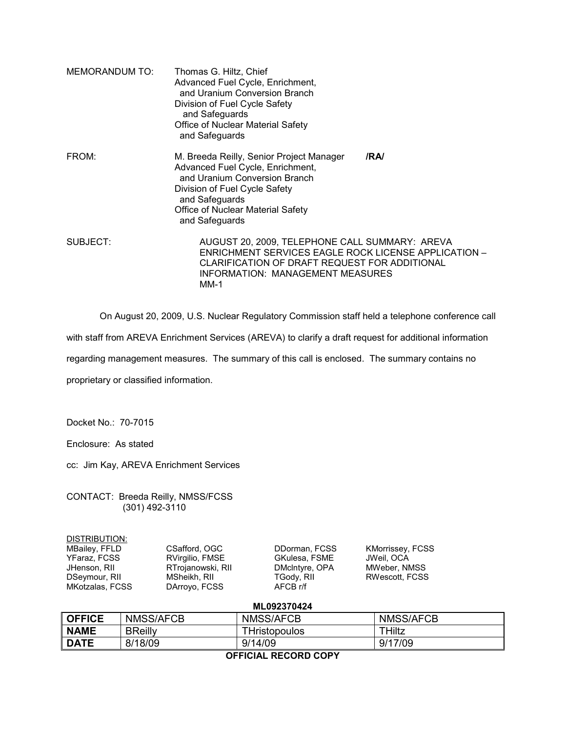| <b>MEMORANDUM TO:</b> | Thomas G. Hiltz, Chief<br>Advanced Fuel Cycle, Enrichment,<br>and Uranium Conversion Branch<br>Division of Fuel Cycle Safety<br>and Safeguards<br>Office of Nuclear Material Safety<br>and Safeguards                          |     |
|-----------------------|--------------------------------------------------------------------------------------------------------------------------------------------------------------------------------------------------------------------------------|-----|
| FROM:                 | M. Breeda Reilly, Senior Project Manager<br>Advanced Fuel Cycle, Enrichment,<br>and Uranium Conversion Branch<br>Division of Fuel Cycle Safety<br>and Safeguards<br><b>Office of Nuclear Material Safety</b><br>and Safeguards | /RA |
| SUBJECT:              | AUGUST 20, 2009, TELEPHONE CALL SUMMARY: AREVA<br>ENRICHMENT SERVICES EAGLE ROCK LICENSE APPLICATION -<br>CLARIFICATION OF DRAFT REQUEST FOR ADDITIONAL<br>INFORMATION: MANAGEMENT MEASURES<br>MM-1                            |     |

On August 20, 2009, U.S. Nuclear Regulatory Commission staff held a telephone conference call

with staff from AREVA Enrichment Services (AREVA) to clarify a draft request for additional information

regarding management measures. The summary of this call is enclosed. The summary contains no

proprietary or classified information.

Docket No.: 70-7015

Enclosure: As stated

cc: Jim Kay, AREVA Enrichment Services

CONTACT: Breeda Reilly, NMSS/FCSS (301) 492-3110

| DISTRIBUTION: |  |  |  |
|---------------|--|--|--|
|               |  |  |  |

MKotzalas, FCSS

MBailey, FFLD CSafford, OGC DDorman, FCSS KMorrissey, FCSS<br>
YFaraz, FCSS RVirgilio, FMSE GKulesa, FSME JWeil, OCA YFaraz, FCSS RVirgilio, FMSE GKulesa, FSME JWeil, OCA JHenson, RII RTrojanowski, RII DMcIntyre, OPA<br>DSeymour, RII MSheikh, RII TGody, RII

MSheikh, RII TGody, RII RWescott, FCSS<br>DArroyo, FCSS AFCB r/f

**ML092370424** 

| AFFIAIAL BEAARD AABV |                |                      |           |  |
|----------------------|----------------|----------------------|-----------|--|
| <b>DATE</b>          | 8/18/09        | 9/14/09              | 9/17/09   |  |
| <b>NAME</b>          | <b>BReilly</b> | <b>THristopoulos</b> | THiltz    |  |
| <b>OFFICE</b>        | NMSS/AFCB      | <b>NMSS/AFCB</b>     | NMSS/AFCB |  |
|                      |                |                      |           |  |

**OFFICIAL RECORD COPY**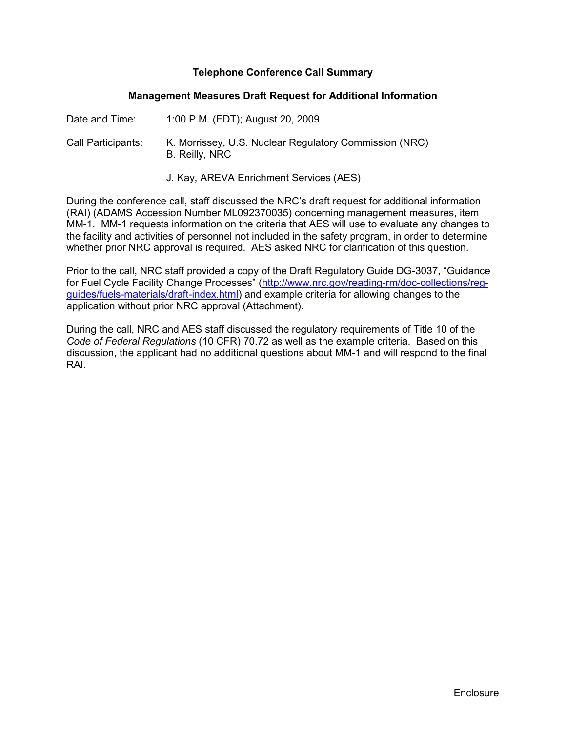## **Telephone Conference Call Summary**

#### **Management Measures Draft Request for Additional Information**

| Date and Time:     | 1:00 P.M. (EDT); August 20, 2009                                         |
|--------------------|--------------------------------------------------------------------------|
| Call Participants: | K. Morrissey, U.S. Nuclear Regulatory Commission (NRC)<br>B. Reilly, NRC |

J. Kay, AREVA Enrichment Services (AES)

During the conference call, staff discussed the NRC's draft request for additional information (RAI) (ADAMS Accession Number ML092370035) concerning management measures, item MM-1. MM-1 requests information on the criteria that AES will use to evaluate any changes to the facility and activities of personnel not included in the safety program, in order to determine whether prior NRC approval is required. AES asked NRC for clarification of this question.

Prior to the call, NRC staff provided a copy of the Draft Regulatory Guide DG-3037, "Guidance for Fuel Cycle Facility Change Processes" (http://www.nrc.gov/reading-rm/doc-collections/regguides/fuels-materials/draft-index.html) and example criteria for allowing changes to the application without prior NRC approval (Attachment).

During the call, NRC and AES staff discussed the regulatory requirements of Title 10 of the *Code of Federal Regulations* (10 CFR) 70.72 as well as the example criteria. Based on this discussion, the applicant had no additional questions about MM-1 and will respond to the final RAI.